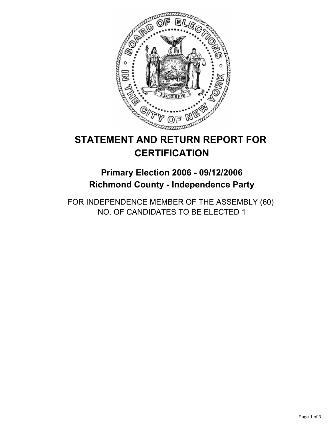

# **STATEMENT AND RETURN REPORT FOR CERTIFICATION**

# **Primary Election 2006 - 09/12/2006 Richmond County - Independence Party**

FOR INDEPENDENCE MEMBER OF THE ASSEMBLY (60) NO. OF CANDIDATES TO BE ELECTED 1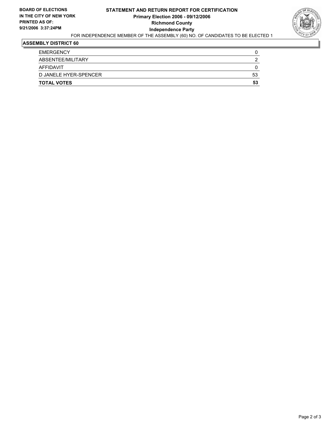## **STATEMENT AND RETURN REPORT FOR CERTIFICATION Primary Election 2006 - 09/12/2006 Richmond County Independence Party**



### FOR INDEPENDENCE MEMBER OF THE ASSEMBLY (60) NO. OF CANDIDATES TO BE ELECTED 1

#### **ASSEMBLY DISTRICT 60**

| <b>EMERGENCY</b>      |    |
|-----------------------|----|
| ABSENTEE/MILITARY     |    |
| <b>AFFIDAVIT</b>      |    |
| D JANELE HYER-SPENCER | 53 |
| <b>TOTAL VOTES</b>    | 53 |